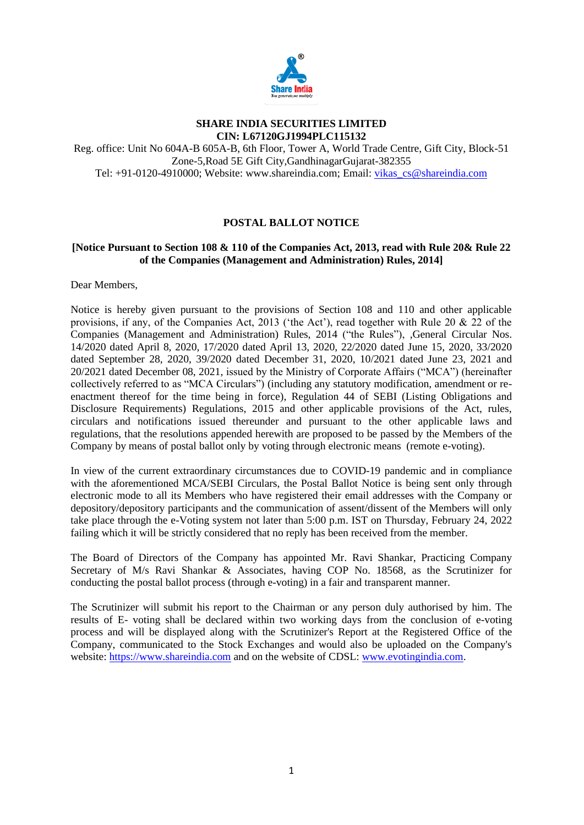

#### **SHARE INDIA SECURITIES LIMITED CIN: L67120GJ1994PLC115132**

Reg. office: Unit No 604A-B 605A-B, 6th Floor, Tower A, World Trade Centre, Gift City, Block-51 Zone-5,Road 5E Gift City,GandhinagarGujarat-382355 Tel: +91-0120-4910000; Website: www.shareindia.com; Email: [vikas\\_cs@shareindia.com](mailto:vikas_cs@shareindia.com)

# **POSTAL BALLOT NOTICE**

# **[Notice Pursuant to Section 108 & 110 of the Companies Act, 2013, read with Rule 20& Rule 22 of the Companies (Management and Administration) Rules, 2014]**

Dear Members,

Notice is hereby given pursuant to the provisions of Section 108 and 110 and other applicable provisions, if any, of the Companies Act, 2013 ('the Act'), read together with Rule 20 & 22 of the Companies (Management and Administration) Rules, 2014 ("the Rules"), ,General Circular Nos. 14/2020 dated April 8, 2020, 17/2020 dated April 13, 2020, 22/2020 dated June 15, 2020, 33/2020 dated September 28, 2020, 39/2020 dated December 31, 2020, 10/2021 dated June 23, 2021 and 20/2021 dated December 08, 2021, issued by the Ministry of Corporate Affairs ("MCA") (hereinafter collectively referred to as "MCA Circulars") (including any statutory modification, amendment or reenactment thereof for the time being in force), Regulation 44 of SEBI (Listing Obligations and Disclosure Requirements) Regulations, 2015 and other applicable provisions of the Act, rules, circulars and notifications issued thereunder and pursuant to the other applicable laws and regulations, that the resolutions appended herewith are proposed to be passed by the Members of the Company by means of postal ballot only by voting through electronic means (remote e-voting).

In view of the current extraordinary circumstances due to COVID-19 pandemic and in compliance with the aforementioned MCA/SEBI Circulars, the Postal Ballot Notice is being sent only through electronic mode to all its Members who have registered their email addresses with the Company or depository/depository participants and the communication of assent/dissent of the Members will only take place through the e-Voting system not later than 5:00 p.m. IST on Thursday, February 24, 2022 failing which it will be strictly considered that no reply has been received from the member.

The Board of Directors of the Company has appointed Mr. Ravi Shankar, Practicing Company Secretary of M/s Ravi Shankar & Associates, having COP No. 18568, as the Scrutinizer for conducting the postal ballot process (through e-voting) in a fair and transparent manner.

The Scrutinizer will submit his report to the Chairman or any person duly authorised by him. The results of E- voting shall be declared within two working days from the conclusion of e-voting process and will be displayed along with the Scrutinizer's Report at the Registered Office of the Company, communicated to the Stock Exchanges and would also be uploaded on the Company's website: [https://www.shareindia.com](https://www.shareindia.com/) and on the website of CDSL: [www.evotingindia.com.](http://www.evotingindia.com/)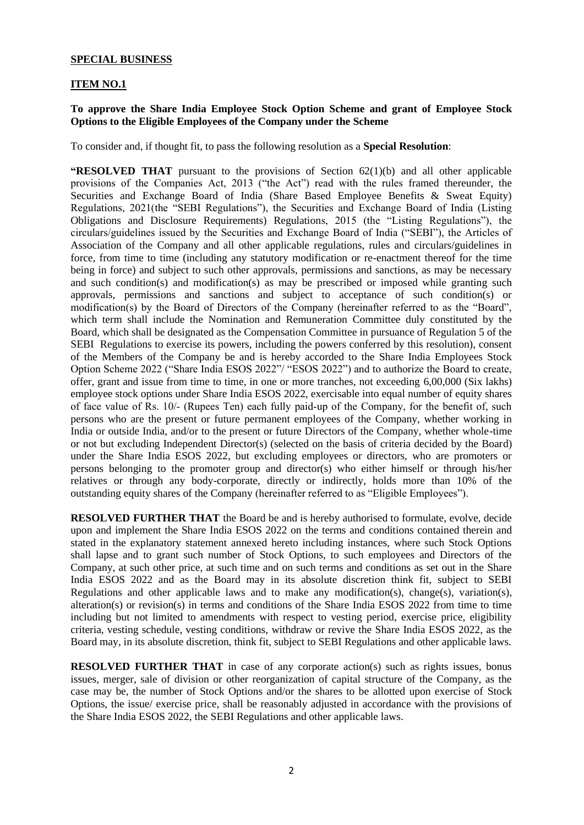### **SPECIAL BUSINESS**

#### **ITEM NO.1**

#### **To approve the Share India Employee Stock Option Scheme and grant of Employee Stock Options to the Eligible Employees of the Company under the Scheme**

To consider and, if thought fit, to pass the following resolution as a **Special Resolution**:

**"RESOLVED THAT** pursuant to the provisions of Section 62(1)(b) and all other applicable provisions of the Companies Act, 2013 ("the Act") read with the rules framed thereunder, the Securities and Exchange Board of India (Share Based Employee Benefits & Sweat Equity) Regulations, 2021(the "SEBI Regulations"), the Securities and Exchange Board of India (Listing Obligations and Disclosure Requirements) Regulations, 2015 (the "Listing Regulations"), the circulars/guidelines issued by the Securities and Exchange Board of India ("SEBI"), the Articles of Association of the Company and all other applicable regulations, rules and circulars/guidelines in force, from time to time (including any statutory modification or re-enactment thereof for the time being in force) and subject to such other approvals, permissions and sanctions, as may be necessary and such condition(s) and modification(s) as may be prescribed or imposed while granting such approvals, permissions and sanctions and subject to acceptance of such condition(s) or modification(s) by the Board of Directors of the Company (hereinafter referred to as the "Board", which term shall include the Nomination and Remuneration Committee duly constituted by the Board, which shall be designated as the Compensation Committee in pursuance of Regulation 5 of the SEBI Regulations to exercise its powers, including the powers conferred by this resolution), consent of the Members of the Company be and is hereby accorded to the Share India Employees Stock Option Scheme 2022 ("Share India ESOS 2022"/ "ESOS 2022") and to authorize the Board to create, offer, grant and issue from time to time, in one or more tranches, not exceeding 6,00,000 (Six lakhs) employee stock options under Share India ESOS 2022, exercisable into equal number of equity shares of face value of Rs. 10/‐ (Rupees Ten) each fully paid‐up of the Company, for the benefit of, such persons who are the present or future permanent employees of the Company, whether working in India or outside India, and/or to the present or future Directors of the Company, whether whole-time or not but excluding Independent Director(s) (selected on the basis of criteria decided by the Board) under the Share India ESOS 2022, but excluding employees or directors, who are promoters or persons belonging to the promoter group and director(s) who either himself or through his/her relatives or through any body-corporate, directly or indirectly, holds more than 10% of the outstanding equity shares of the Company (hereinafter referred to as "Eligible Employees").

**RESOLVED FURTHER THAT** the Board be and is hereby authorised to formulate, evolve, decide upon and implement the Share India ESOS 2022 on the terms and conditions contained therein and stated in the explanatory statement annexed hereto including instances, where such Stock Options shall lapse and to grant such number of Stock Options, to such employees and Directors of the Company, at such other price, at such time and on such terms and conditions as set out in the Share India ESOS 2022 and as the Board may in its absolute discretion think fit, subject to SEBI Regulations and other applicable laws and to make any modification(s), change(s), variation(s), alteration(s) or revision(s) in terms and conditions of the Share India ESOS 2022 from time to time including but not limited to amendments with respect to vesting period, exercise price, eligibility criteria, vesting schedule, vesting conditions, withdraw or revive the Share India ESOS 2022, as the Board may, in its absolute discretion, think fit, subject to SEBI Regulations and other applicable laws.

**RESOLVED FURTHER THAT** in case of any corporate action(s) such as rights issues, bonus issues, merger, sale of division or other reorganization of capital structure of the Company, as the case may be, the number of Stock Options and/or the shares to be allotted upon exercise of Stock Options, the issue/ exercise price, shall be reasonably adjusted in accordance with the provisions of the Share India ESOS 2022, the SEBI Regulations and other applicable laws.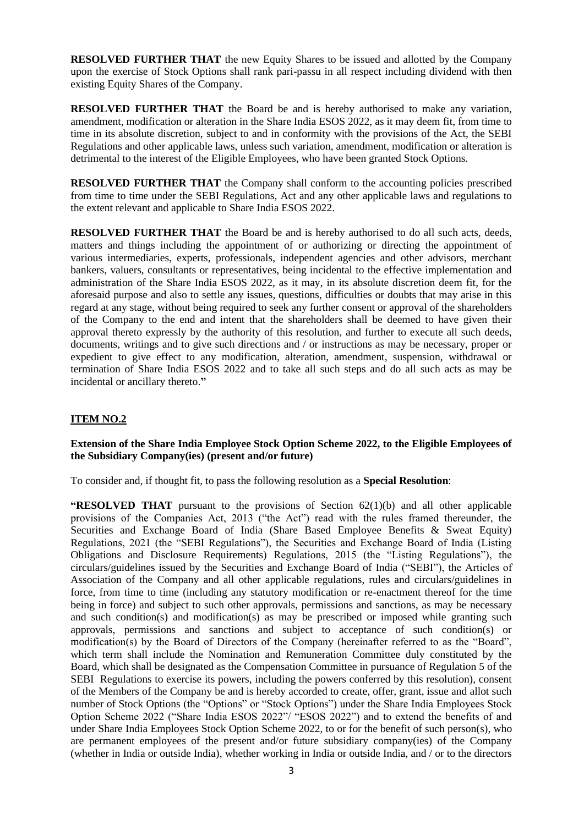**RESOLVED FURTHER THAT** the new Equity Shares to be issued and allotted by the Company upon the exercise of Stock Options shall rank pari-passu in all respect including dividend with then existing Equity Shares of the Company.

**RESOLVED FURTHER THAT** the Board be and is hereby authorised to make any variation, amendment, modification or alteration in the Share India ESOS 2022, as it may deem fit, from time to time in its absolute discretion, subject to and in conformity with the provisions of the Act, the SEBI Regulations and other applicable laws, unless such variation, amendment, modification or alteration is detrimental to the interest of the Eligible Employees, who have been granted Stock Options.

**RESOLVED FURTHER THAT** the Company shall conform to the accounting policies prescribed from time to time under the SEBI Regulations, Act and any other applicable laws and regulations to the extent relevant and applicable to Share India ESOS 2022.

**RESOLVED FURTHER THAT** the Board be and is hereby authorised to do all such acts, deeds, matters and things including the appointment of or authorizing or directing the appointment of various intermediaries, experts, professionals, independent agencies and other advisors, merchant bankers, valuers, consultants or representatives, being incidental to the effective implementation and administration of the Share India ESOS 2022, as it may, in its absolute discretion deem fit, for the aforesaid purpose and also to settle any issues, questions, difficulties or doubts that may arise in this regard at any stage, without being required to seek any further consent or approval of the shareholders of the Company to the end and intent that the shareholders shall be deemed to have given their approval thereto expressly by the authority of this resolution, and further to execute all such deeds, documents, writings and to give such directions and / or instructions as may be necessary, proper or expedient to give effect to any modification, alteration, amendment, suspension, withdrawal or termination of Share India ESOS 2022 and to take all such steps and do all such acts as may be incidental or ancillary thereto.**"**

### **ITEM NO.2**

### **Extension of the Share India Employee Stock Option Scheme 2022, to the Eligible Employees of the Subsidiary Company(ies) (present and/or future)**

To consider and, if thought fit, to pass the following resolution as a **Special Resolution**:

**"RESOLVED THAT** pursuant to the provisions of Section 62(1)(b) and all other applicable provisions of the Companies Act, 2013 ("the Act") read with the rules framed thereunder, the Securities and Exchange Board of India (Share Based Employee Benefits & Sweat Equity) Regulations, 2021 (the "SEBI Regulations"), the Securities and Exchange Board of India (Listing Obligations and Disclosure Requirements) Regulations, 2015 (the "Listing Regulations"), the circulars/guidelines issued by the Securities and Exchange Board of India ("SEBI"), the Articles of Association of the Company and all other applicable regulations, rules and circulars/guidelines in force, from time to time (including any statutory modification or re-enactment thereof for the time being in force) and subject to such other approvals, permissions and sanctions, as may be necessary and such condition(s) and modification(s) as may be prescribed or imposed while granting such approvals, permissions and sanctions and subject to acceptance of such condition(s) or modification(s) by the Board of Directors of the Company (hereinafter referred to as the "Board", which term shall include the Nomination and Remuneration Committee duly constituted by the Board, which shall be designated as the Compensation Committee in pursuance of Regulation 5 of the SEBI Regulations to exercise its powers, including the powers conferred by this resolution), consent of the Members of the Company be and is hereby accorded to create, offer, grant, issue and allot such number of Stock Options (the "Options" or "Stock Options") under the Share India Employees Stock Option Scheme 2022 ("Share India ESOS 2022"/ "ESOS 2022") and to extend the benefits of and under Share India Employees Stock Option Scheme 2022, to or for the benefit of such person(s), who are permanent employees of the present and/or future subsidiary company(ies) of the Company (whether in India or outside India), whether working in India or outside India, and / or to the directors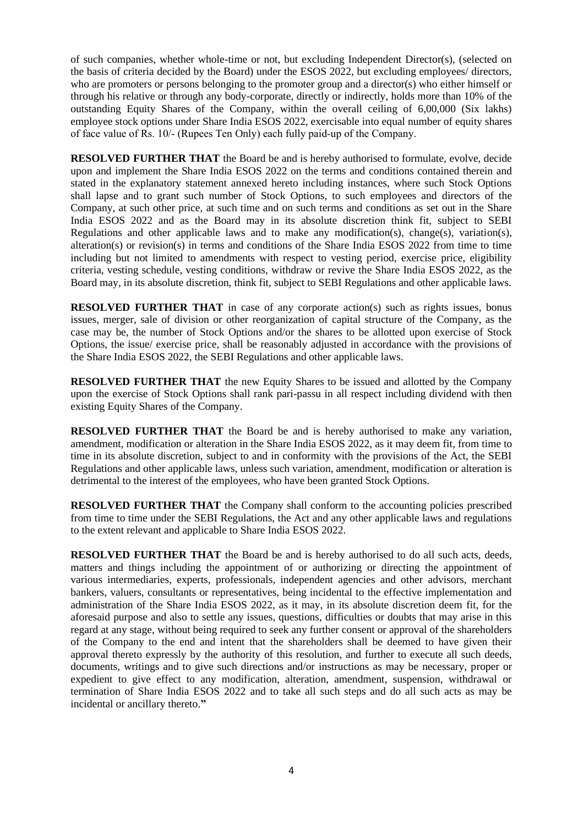of such companies, whether whole-time or not, but excluding Independent Director(s), (selected on the basis of criteria decided by the Board) under the ESOS 2022, but excluding employees/ directors, who are promoters or persons belonging to the promoter group and a director(s) who either himself or through his relative or through any body-corporate, directly or indirectly, holds more than 10% of the outstanding Equity Shares of the Company, within the overall ceiling of 6,00,000 (Six lakhs) employee stock options under Share India ESOS 2022, exercisable into equal number of equity shares of face value of Rs. 10/‐ (Rupees Ten Only) each fully paid‐up of the Company.

**RESOLVED FURTHER THAT** the Board be and is hereby authorised to formulate, evolve, decide upon and implement the Share India ESOS 2022 on the terms and conditions contained therein and stated in the explanatory statement annexed hereto including instances, where such Stock Options shall lapse and to grant such number of Stock Options, to such employees and directors of the Company, at such other price, at such time and on such terms and conditions as set out in the Share India ESOS 2022 and as the Board may in its absolute discretion think fit, subject to SEBI Regulations and other applicable laws and to make any modification(s), change(s), variation(s), alteration(s) or revision(s) in terms and conditions of the Share India ESOS 2022 from time to time including but not limited to amendments with respect to vesting period, exercise price, eligibility criteria, vesting schedule, vesting conditions, withdraw or revive the Share India ESOS 2022, as the Board may, in its absolute discretion, think fit, subject to SEBI Regulations and other applicable laws.

**RESOLVED FURTHER THAT** in case of any corporate action(s) such as rights issues, bonus issues, merger, sale of division or other reorganization of capital structure of the Company, as the case may be, the number of Stock Options and/or the shares to be allotted upon exercise of Stock Options, the issue/ exercise price, shall be reasonably adjusted in accordance with the provisions of the Share India ESOS 2022, the SEBI Regulations and other applicable laws.

**RESOLVED FURTHER THAT** the new Equity Shares to be issued and allotted by the Company upon the exercise of Stock Options shall rank pari-passu in all respect including dividend with then existing Equity Shares of the Company.

**RESOLVED FURTHER THAT** the Board be and is hereby authorised to make any variation, amendment, modification or alteration in the Share India ESOS 2022, as it may deem fit, from time to time in its absolute discretion, subject to and in conformity with the provisions of the Act, the SEBI Regulations and other applicable laws, unless such variation, amendment, modification or alteration is detrimental to the interest of the employees, who have been granted Stock Options.

**RESOLVED FURTHER THAT** the Company shall conform to the accounting policies prescribed from time to time under the SEBI Regulations, the Act and any other applicable laws and regulations to the extent relevant and applicable to Share India ESOS 2022.

**RESOLVED FURTHER THAT** the Board be and is hereby authorised to do all such acts, deeds, matters and things including the appointment of or authorizing or directing the appointment of various intermediaries, experts, professionals, independent agencies and other advisors, merchant bankers, valuers, consultants or representatives, being incidental to the effective implementation and administration of the Share India ESOS 2022, as it may, in its absolute discretion deem fit, for the aforesaid purpose and also to settle any issues, questions, difficulties or doubts that may arise in this regard at any stage, without being required to seek any further consent or approval of the shareholders of the Company to the end and intent that the shareholders shall be deemed to have given their approval thereto expressly by the authority of this resolution, and further to execute all such deeds, documents, writings and to give such directions and/or instructions as may be necessary, proper or expedient to give effect to any modification, alteration, amendment, suspension, withdrawal or termination of Share India ESOS 2022 and to take all such steps and do all such acts as may be incidental or ancillary thereto.**"**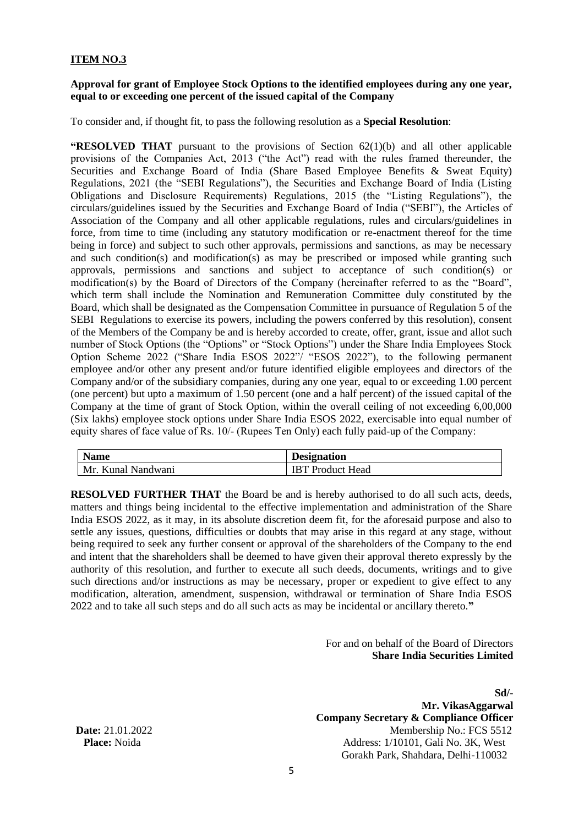# **ITEM NO.3**

## **Approval for grant of Employee Stock Options to the identified employees during any one year, equal to or exceeding one percent of the issued capital of the Company**

To consider and, if thought fit, to pass the following resolution as a **Special Resolution**:

**"RESOLVED THAT** pursuant to the provisions of Section 62(1)(b) and all other applicable provisions of the Companies Act, 2013 ("the Act") read with the rules framed thereunder, the Securities and Exchange Board of India (Share Based Employee Benefits & Sweat Equity) Regulations, 2021 (the "SEBI Regulations"), the Securities and Exchange Board of India (Listing Obligations and Disclosure Requirements) Regulations, 2015 (the "Listing Regulations"), the circulars/guidelines issued by the Securities and Exchange Board of India ("SEBI"), the Articles of Association of the Company and all other applicable regulations, rules and circulars/guidelines in force, from time to time (including any statutory modification or re-enactment thereof for the time being in force) and subject to such other approvals, permissions and sanctions, as may be necessary and such condition(s) and modification(s) as may be prescribed or imposed while granting such approvals, permissions and sanctions and subject to acceptance of such condition(s) or modification(s) by the Board of Directors of the Company (hereinafter referred to as the "Board", which term shall include the Nomination and Remuneration Committee duly constituted by the Board, which shall be designated as the Compensation Committee in pursuance of Regulation 5 of the SEBI Regulations to exercise its powers, including the powers conferred by this resolution), consent of the Members of the Company be and is hereby accorded to create, offer, grant, issue and allot such number of Stock Options (the "Options" or "Stock Options") under the Share India Employees Stock Option Scheme 2022 ("Share India ESOS 2022"/ "ESOS 2022"), to the following permanent employee and/or other any present and/or future identified eligible employees and directors of the Company and/or of the subsidiary companies, during any one year, equal to or exceeding 1.00 percent (one percent) but upto a maximum of 1.50 percent (one and a half percent) of the issued capital of the Company at the time of grant of Stock Option, within the overall ceiling of not exceeding 6,00,000 (Six lakhs) employee stock options under Share India ESOS 2022, exercisable into equal number of equity shares of face value of Rs. 10/‐ (Rupees Ten Only) each fully paid‐up of the Company:

| <b>Name</b>        | <b>Designation</b>      |
|--------------------|-------------------------|
| Mr. Kunal Nandwani | <b>IBT</b> Product Head |

**RESOLVED FURTHER THAT** the Board be and is hereby authorised to do all such acts, deeds, matters and things being incidental to the effective implementation and administration of the Share India ESOS 2022, as it may, in its absolute discretion deem fit, for the aforesaid purpose and also to settle any issues, questions, difficulties or doubts that may arise in this regard at any stage, without being required to seek any further consent or approval of the shareholders of the Company to the end and intent that the shareholders shall be deemed to have given their approval thereto expressly by the authority of this resolution, and further to execute all such deeds, documents, writings and to give such directions and/or instructions as may be necessary, proper or expedient to give effect to any modification, alteration, amendment, suspension, withdrawal or termination of Share India ESOS 2022 and to take all such steps and do all such acts as may be incidental or ancillary thereto.**"**

> For and on behalf of the Board of Directors **Share India Securities Limited**

**Sd/- Mr. VikasAggarwal Company Secretary & Compliance Officer Date:** 21.01.2022 Membership No.: FCS 5512 **Place:** Noida **Address: 1/10101, Gali No. 3K, West** Gorakh Park, Shahdara, Delhi-110032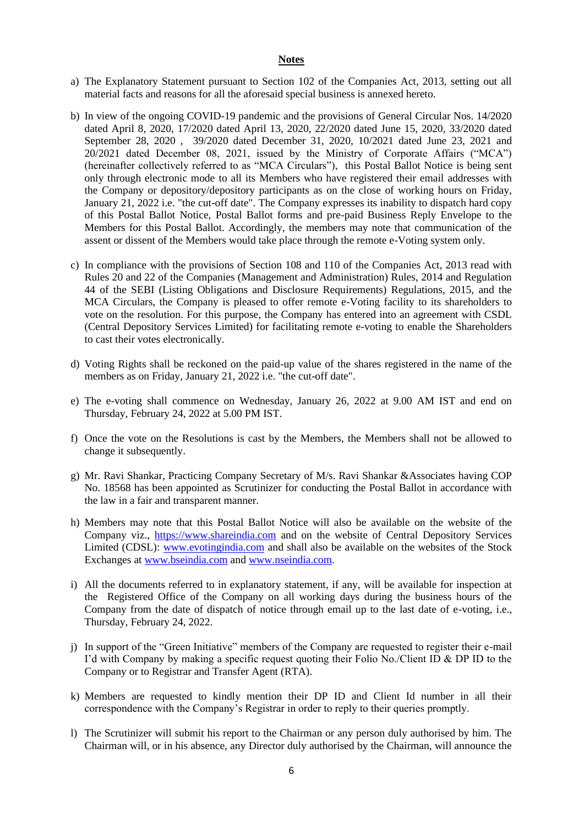### **Notes**

- a) The Explanatory Statement pursuant to Section 102 of the Companies Act, 2013, setting out all material facts and reasons for all the aforesaid special business is annexed hereto.
- b) In view of the ongoing COVID-19 pandemic and the provisions of General Circular Nos. 14/2020 dated April 8, 2020, 17/2020 dated April 13, 2020, 22/2020 dated June 15, 2020, 33/2020 dated September 28, 2020 , 39/2020 dated December 31, 2020, 10/2021 dated June 23, 2021 and 20/2021 dated December 08, 2021, issued by the Ministry of Corporate Affairs ("MCA") (hereinafter collectively referred to as "MCA Circulars"), this Postal Ballot Notice is being sent only through electronic mode to all its Members who have registered their email addresses with the Company or depository/depository participants as on the close of working hours on Friday, January 21, 2022 i.e. "the cut-off date". The Company expresses its inability to dispatch hard copy of this Postal Ballot Notice, Postal Ballot forms and pre-paid Business Reply Envelope to the Members for this Postal Ballot. Accordingly, the members may note that communication of the assent or dissent of the Members would take place through the remote e-Voting system only.
- c) In compliance with the provisions of Section 108 and 110 of the Companies Act, 2013 read with Rules 20 and 22 of the Companies (Management and Administration) Rules, 2014 and Regulation 44 of the SEBI (Listing Obligations and Disclosure Requirements) Regulations, 2015, and the MCA Circulars, the Company is pleased to offer remote e-Voting facility to its shareholders to vote on the resolution. For this purpose, the Company has entered into an agreement with CSDL (Central Depository Services Limited) for facilitating remote e-voting to enable the Shareholders to cast their votes electronically.
- d) Voting Rights shall be reckoned on the paid-up value of the shares registered in the name of the members as on Friday, January 21, 2022 i.e. "the cut-off date".
- e) The e-voting shall commence on Wednesday, January 26, 2022 at 9.00 AM IST and end on Thursday, February 24, 2022 at 5.00 PM IST.
- f) Once the vote on the Resolutions is cast by the Members, the Members shall not be allowed to change it subsequently.
- g) Mr. Ravi Shankar, Practicing Company Secretary of M/s. Ravi Shankar &Associates having COP No. 18568 has been appointed as Scrutinizer for conducting the Postal Ballot in accordance with the law in a fair and transparent manner.
- h) Members may note that this Postal Ballot Notice will also be available on the website of the Company viz., [https://www.shareindia.com](https://www.shareindia.com/) and on the website of Central Depository Services Limited (CDSL): [www.evotingindia.com](http://www.evotingindia.com/) and shall also be available on the websites of the Stock Exchanges at www.bseindia.com and [www.nseindia.com.](http://www.nseindia.com/)
- i) All the documents referred to in explanatory statement, if any, will be available for inspection at the Registered Office of the Company on all working days during the business hours of the Company from the date of dispatch of notice through email up to the last date of e-voting, i.e., Thursday, February 24, 2022.
- j) In support of the "Green Initiative" members of the Company are requested to register their e-mail I'd with Company by making a specific request quoting their Folio No./Client ID & DP ID to the Company or to Registrar and Transfer Agent (RTA).
- k) Members are requested to kindly mention their DP ID and Client Id number in all their correspondence with the Company's Registrar in order to reply to their queries promptly.
- l) The Scrutinizer will submit his report to the Chairman or any person duly authorised by him. The Chairman will, or in his absence, any Director duly authorised by the Chairman, will announce the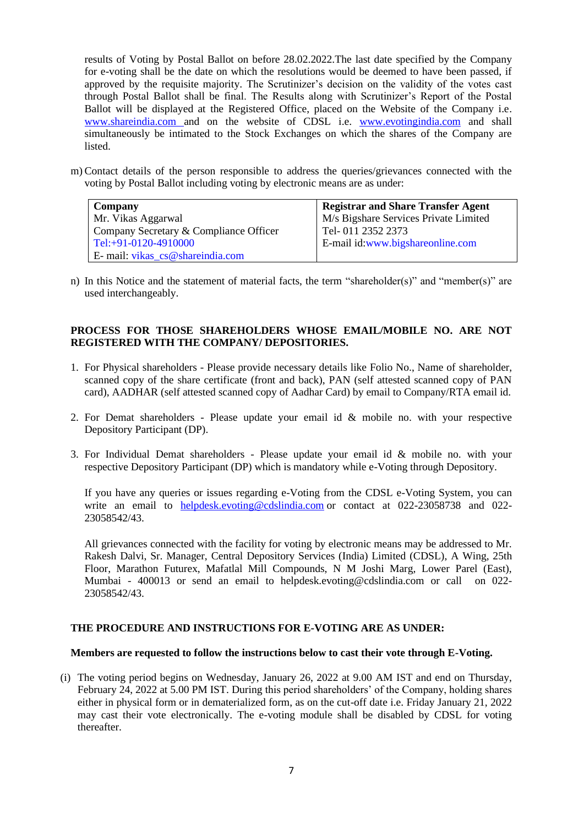results of Voting by Postal Ballot on before 28.02.2022.The last date specified by the Company for e-voting shall be the date on which the resolutions would be deemed to have been passed, if approved by the requisite majority. The Scrutinizer's decision on the validity of the votes cast through Postal Ballot shall be final. The Results along with Scrutinizer's Report of the Postal Ballot will be displayed at the Registered Office, placed on the Website of the Company i.e. www.shareindia.com and on the website of CDSL i.e. [www.evotingindia.com](http://www.evotingindia.com/) and shall simultaneously be intimated to the Stock Exchanges on which the shares of the Company are listed.

m) Contact details of the person responsible to address the queries/grievances connected with the voting by Postal Ballot including voting by electronic means are as under:

| Company                                | <b>Registrar and Share Transfer Agent</b> |
|----------------------------------------|-------------------------------------------|
| Mr. Vikas Aggarwal                     | M/s Bigshare Services Private Limited     |
| Company Secretary & Compliance Officer | Tel-011 2352 2373                         |
| Tel:+91-0120-4910000                   | E-mail id: www.bigshareonline.com         |
| E- mail: vikas_cs@shareindia.com       |                                           |

n) In this Notice and the statement of material facts, the term "shareholder(s)" and "member(s)" are used interchangeably.

## **PROCESS FOR THOSE SHAREHOLDERS WHOSE EMAIL/MOBILE NO. ARE NOT REGISTERED WITH THE COMPANY/ DEPOSITORIES.**

- 1. For Physical shareholders Please provide necessary details like Folio No., Name of shareholder, scanned copy of the share certificate (front and back), PAN (self attested scanned copy of PAN card), AADHAR (self attested scanned copy of Aadhar Card) by email to Company/RTA email id.
- 2. For Demat shareholders Please update your email id & mobile no. with your respective Depository Participant (DP).
- 3. For Individual Demat shareholders Please update your email id & mobile no. with your respective Depository Participant (DP) which is mandatory while e-Voting through Depository.

If you have any queries or issues regarding e-Voting from the CDSL e-Voting System, you can write an email to [helpdesk.evoting@cdslindia.com](mailto:helpdesk.evoting@cdslindia.com) or contact at 022-23058738 and 022- 23058542/43.

All grievances connected with the facility for voting by electronic means may be addressed to Mr. Rakesh Dalvi, Sr. Manager, Central Depository Services (India) Limited (CDSL), A Wing, 25th Floor, Marathon Futurex, Mafatlal Mill Compounds, N M Joshi Marg, Lower Parel (East), Mumbai - 400013 or send an email to [helpdesk.evoting@cdslindia.com](mailto:helpdesk.evoting@cdslindia.com) or call on 022- 23058542/43.

### **THE PROCEDURE AND INSTRUCTIONS FOR E-VOTING ARE AS UNDER:**

#### **Members are requested to follow the instructions below to cast their vote through E-Voting.**

(i) The voting period begins on Wednesday, January 26, 2022 at 9.00 AM IST and end on Thursday, February 24, 2022 at 5.00 PM IST. During this period shareholders' of the Company, holding shares either in physical form or in dematerialized form, as on the cut-off date i.e. Friday January 21, 2022 may cast their vote electronically. The e-voting module shall be disabled by CDSL for voting thereafter.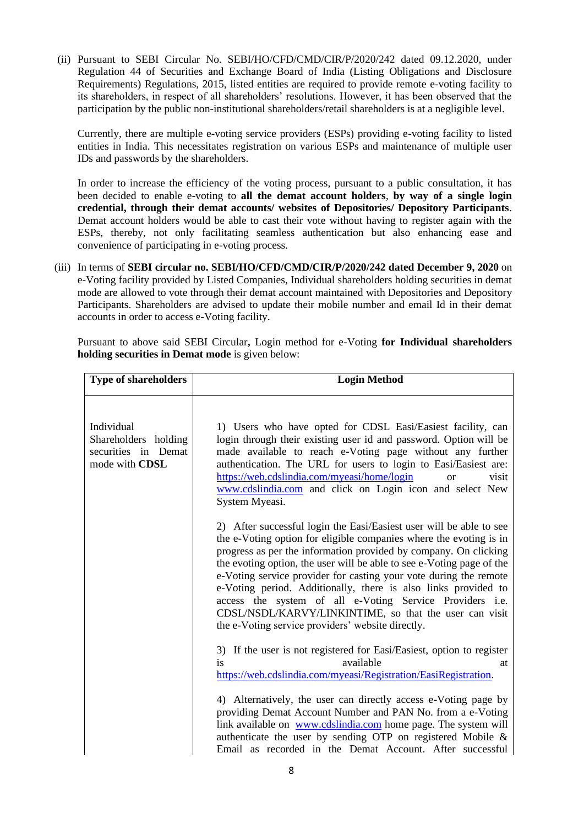(ii) Pursuant to SEBI Circular No. SEBI/HO/CFD/CMD/CIR/P/2020/242 dated 09.12.2020, under Regulation 44 of Securities and Exchange Board of India (Listing Obligations and Disclosure Requirements) Regulations, 2015, listed entities are required to provide remote e-voting facility to its shareholders, in respect of all shareholders' resolutions. However, it has been observed that the participation by the public non-institutional shareholders/retail shareholders is at a negligible level.

Currently, there are multiple e-voting service providers (ESPs) providing e-voting facility to listed entities in India. This necessitates registration on various ESPs and maintenance of multiple user IDs and passwords by the shareholders.

In order to increase the efficiency of the voting process, pursuant to a public consultation, it has been decided to enable e-voting to **all the demat account holders**, **by way of a single login credential, through their demat accounts/ websites of Depositories/ Depository Participants**. Demat account holders would be able to cast their vote without having to register again with the ESPs, thereby, not only facilitating seamless authentication but also enhancing ease and convenience of participating in e-voting process.

(iii) In terms of **SEBI circular no. SEBI/HO/CFD/CMD/CIR/P/2020/242 dated December 9, 2020** on e-Voting facility provided by Listed Companies, Individual shareholders holding securities in demat mode are allowed to vote through their demat account maintained with Depositories and Depository Participants. Shareholders are advised to update their mobile number and email Id in their demat accounts in order to access e-Voting facility.

Pursuant to above said SEBI Circular**,** Login method for e-Voting **for Individual shareholders holding securities in Demat mode** is given below:

| <b>Type of shareholders</b>                                                 | <b>Login Method</b>                                                                                                                                                                                                                                                                                                                                                                                                                                                                                                                                                                                      |
|-----------------------------------------------------------------------------|----------------------------------------------------------------------------------------------------------------------------------------------------------------------------------------------------------------------------------------------------------------------------------------------------------------------------------------------------------------------------------------------------------------------------------------------------------------------------------------------------------------------------------------------------------------------------------------------------------|
| Individual<br>Shareholders holding<br>securities in Demat<br>mode with CDSL | 1) Users who have opted for CDSL Easi/Easiest facility, can<br>login through their existing user id and password. Option will be<br>made available to reach e-Voting page without any further<br>authentication. The URL for users to login to Easi/Easiest are:<br>https://web.cdslindia.com/myeasi/home/login<br>visit<br>or<br>www.cdslindia.com and click on Login icon and select New<br>System Myeasi.                                                                                                                                                                                             |
|                                                                             | 2) After successful login the Easi/Easiest user will be able to see<br>the e-Voting option for eligible companies where the evoting is in<br>progress as per the information provided by company. On clicking<br>the evoting option, the user will be able to see e-Voting page of the<br>e-Voting service provider for casting your vote during the remote<br>e-Voting period. Additionally, there is also links provided to<br>access the system of all e-Voting Service Providers i.e.<br>CDSL/NSDL/KARVY/LINKINTIME, so that the user can visit<br>the e-Voting service providers' website directly. |
|                                                                             | 3) If the user is not registered for Easi/Easiest, option to register<br>is<br>available<br>at<br>https://web.cdslindia.com/myeasi/Registration/EasiRegistration.                                                                                                                                                                                                                                                                                                                                                                                                                                        |
|                                                                             | 4) Alternatively, the user can directly access e-Voting page by<br>providing Demat Account Number and PAN No. from a e-Voting<br>link available on www.cdslindia.com home page. The system will<br>authenticate the user by sending OTP on registered Mobile &<br>Email as recorded in the Demat Account. After successful                                                                                                                                                                                                                                                                               |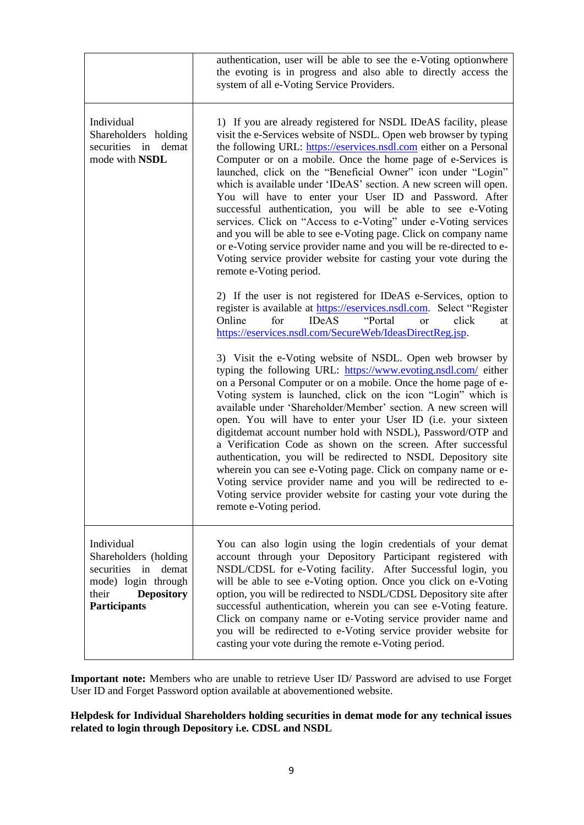|                                                                                                                                           | authentication, user will be able to see the e-Voting optionwhere<br>the evoting is in progress and also able to directly access the<br>system of all e-Voting Service Providers.                                                                                                                                                                                                                                                                                                                                                                                                                                                                                                                                                                                                                                                                      |
|-------------------------------------------------------------------------------------------------------------------------------------------|--------------------------------------------------------------------------------------------------------------------------------------------------------------------------------------------------------------------------------------------------------------------------------------------------------------------------------------------------------------------------------------------------------------------------------------------------------------------------------------------------------------------------------------------------------------------------------------------------------------------------------------------------------------------------------------------------------------------------------------------------------------------------------------------------------------------------------------------------------|
| Individual<br>Shareholders holding<br>securities in demat<br>mode with NSDL                                                               | 1) If you are already registered for NSDL IDeAS facility, please<br>visit the e-Services website of NSDL. Open web browser by typing<br>the following URL: https://eservices.nsdl.com either on a Personal<br>Computer or on a mobile. Once the home page of e-Services is<br>launched, click on the "Beneficial Owner" icon under "Login"<br>which is available under 'IDeAS' section. A new screen will open.<br>You will have to enter your User ID and Password. After<br>successful authentication, you will be able to see e-Voting<br>services. Click on "Access to e-Voting" under e-Voting services<br>and you will be able to see e-Voting page. Click on company name<br>or e-Voting service provider name and you will be re-directed to e-<br>Voting service provider website for casting your vote during the<br>remote e-Voting period. |
|                                                                                                                                           | 2) If the user is not registered for IDeAS e-Services, option to<br>register is available at https://eservices.nsdl.com. Select "Register<br><b>IDeAS</b><br>for<br>"Portal"<br>click<br>Online<br>or<br>at<br>https://eservices.nsdl.com/SecureWeb/IdeasDirectReg.jsp.                                                                                                                                                                                                                                                                                                                                                                                                                                                                                                                                                                                |
|                                                                                                                                           | 3) Visit the e-Voting website of NSDL. Open web browser by<br>typing the following URL: https://www.evoting.nsdl.com/ either<br>on a Personal Computer or on a mobile. Once the home page of e-<br>Voting system is launched, click on the icon "Login" which is<br>available under 'Shareholder/Member' section. A new screen will<br>open. You will have to enter your User ID (i.e. your sixteen<br>digitdemat account number hold with NSDL), Password/OTP and<br>a Verification Code as shown on the screen. After successful<br>authentication, you will be redirected to NSDL Depository site<br>wherein you can see e-Voting page. Click on company name or e-<br>Voting service provider name and you will be redirected to e-<br>Voting service provider website for casting your vote during the<br>remote e-Voting period.                 |
| Individual<br>Shareholders (holding<br>securities in<br>demat<br>mode) login through<br><b>Depository</b><br>their<br><b>Participants</b> | You can also login using the login credentials of your demat<br>account through your Depository Participant registered with<br>NSDL/CDSL for e-Voting facility. After Successful login, you<br>will be able to see e-Voting option. Once you click on e-Voting<br>option, you will be redirected to NSDL/CDSL Depository site after<br>successful authentication, wherein you can see e-Voting feature.<br>Click on company name or e-Voting service provider name and<br>you will be redirected to e-Voting service provider website for<br>casting your vote during the remote e-Voting period.                                                                                                                                                                                                                                                      |

**Important note:** Members who are unable to retrieve User ID/ Password are advised to use Forget User ID and Forget Password option available at abovementioned website.

**Helpdesk for Individual Shareholders holding securities in demat mode for any technical issues related to login through Depository i.e. CDSL and NSDL**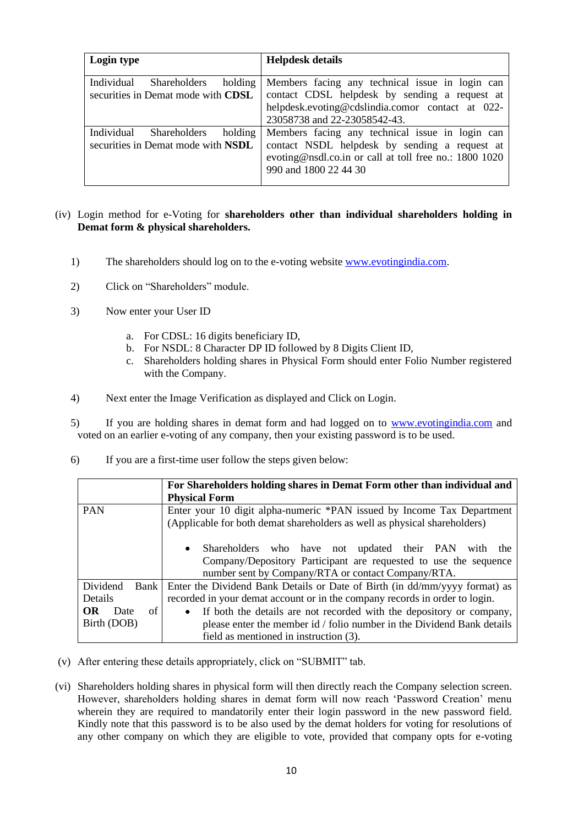| Login type                         | <b>Helpdesk details</b>                                |
|------------------------------------|--------------------------------------------------------|
| Individual                         | Members facing any technical issue in login can        |
| Shareholders                       | contact CDSL helpdesk by sending a request at          |
| holding                            | helpdesk.evoting@cdslindia.comor contact at 022-       |
| securities in Demat mode with CDSL | 23058738 and 22-23058542-43.                           |
| Individual                         | Members facing any technical issue in login can        |
| Shareholders                       | contact NSDL helpdesk by sending a request at          |
| holding                            | evoting@nsdl.co.in or call at toll free no.: 1800 1020 |
| securities in Demat mode with NSDL | 990 and 1800 22 44 30                                  |

# (iv) Login method for e-Voting for **shareholders other than individual shareholders holding in Demat form & physical shareholders.**

- 1) The shareholders should log on to the e-voting website [www.evotingindia.com.](http://www.evotingindia.com/)
- 2) Click on "Shareholders" module.
- 3) Now enter your User ID
	- a. For CDSL: 16 digits beneficiary ID,
	- b. For NSDL: 8 Character DP ID followed by 8 Digits Client ID,
	- c. Shareholders holding shares in Physical Form should enter Folio Number registered with the Company.
- 4) Next enter the Image Verification as displayed and Click on Login.

5) If you are holding shares in demat form and had logged on to [www.evotingindia.com](http://www.evotingindia.com/) and voted on an earlier e-voting of any company, then your existing password is to be used.

6) If you are a first-time user follow the steps given below:

|                         | For Shareholders holding shares in Demat Form other than individual and<br><b>Physical Form</b>                                                                                     |  |
|-------------------------|-------------------------------------------------------------------------------------------------------------------------------------------------------------------------------------|--|
| <b>PAN</b>              | Enter your 10 digit alpha-numeric *PAN issued by Income Tax Department<br>(Applicable for both demat shareholders as well as physical shareholders)                                 |  |
|                         | • Shareholders who have not updated their PAN<br>with the<br>Company/Depository Participant are requested to use the sequence<br>number sent by Company/RTA or contact Company/RTA. |  |
| Dividend<br>Bank        | Enter the Dividend Bank Details or Date of Birth (in dd/mm/yyyy format) as                                                                                                          |  |
| Details                 | recorded in your demat account or in the company records in order to login.                                                                                                         |  |
| <b>OR</b><br>of<br>Date | If both the details are not recorded with the depository or company,<br>$\bullet$                                                                                                   |  |
| Birth (DOB)             | please enter the member id / folio number in the Dividend Bank details                                                                                                              |  |
|                         | field as mentioned in instruction (3).                                                                                                                                              |  |

- (v) After entering these details appropriately, click on "SUBMIT" tab.
- (vi) Shareholders holding shares in physical form will then directly reach the Company selection screen. However, shareholders holding shares in demat form will now reach 'Password Creation' menu wherein they are required to mandatorily enter their login password in the new password field. Kindly note that this password is to be also used by the demat holders for voting for resolutions of any other company on which they are eligible to vote, provided that company opts for e-voting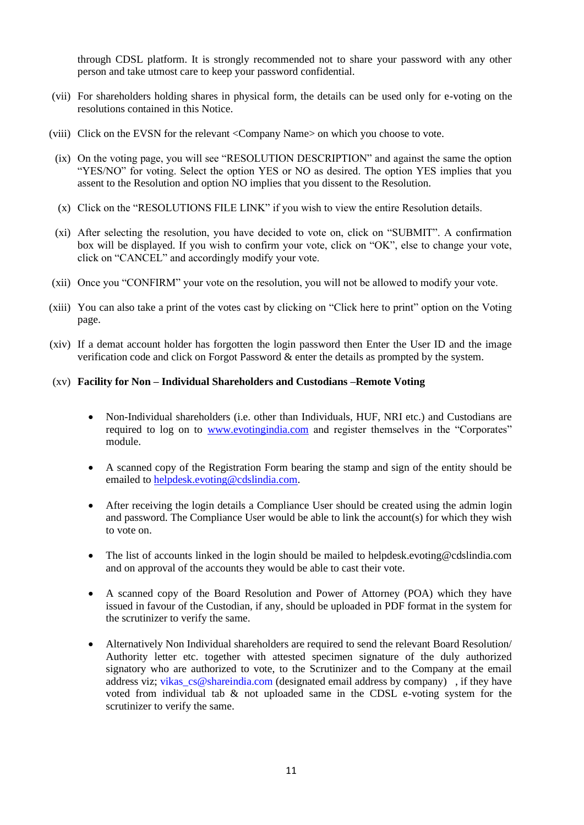through CDSL platform. It is strongly recommended not to share your password with any other person and take utmost care to keep your password confidential.

- (vii) For shareholders holding shares in physical form, the details can be used only for e-voting on the resolutions contained in this Notice.
- (viii) Click on the EVSN for the relevant <Company Name> on which you choose to vote.
- (ix) On the voting page, you will see "RESOLUTION DESCRIPTION" and against the same the option "YES/NO" for voting. Select the option YES or NO as desired. The option YES implies that you assent to the Resolution and option NO implies that you dissent to the Resolution.
- (x) Click on the "RESOLUTIONS FILE LINK" if you wish to view the entire Resolution details.
- (xi) After selecting the resolution, you have decided to vote on, click on "SUBMIT". A confirmation box will be displayed. If you wish to confirm your vote, click on "OK", else to change your vote, click on "CANCEL" and accordingly modify your vote.
- (xii) Once you "CONFIRM" your vote on the resolution, you will not be allowed to modify your vote.
- (xiii) You can also take a print of the votes cast by clicking on "Click here to print" option on the Voting page.
- (xiv) If a demat account holder has forgotten the login password then Enter the User ID and the image verification code and click on Forgot Password & enter the details as prompted by the system.

#### (xv) **Facility for Non – Individual Shareholders and Custodians –Remote Voting**

- Non-Individual shareholders (i.e. other than Individuals, HUF, NRI etc.) and Custodians are required to log on to [www.evotingindia.com](http://www.evotingindia.com/) and register themselves in the "Corporates" module.
- A scanned copy of the Registration Form bearing the stamp and sign of the entity should be emailed to [helpdesk.evoting@cdslindia.com.](mailto:helpdesk.evoting@cdslindia.com)
- After receiving the login details a Compliance User should be created using the admin login and password. The Compliance User would be able to link the account(s) for which they wish to vote on.
- The list of accounts linked in the login should be mailed to helpdesk.evoting@cdslindia.com and on approval of the accounts they would be able to cast their vote.
- A scanned copy of the Board Resolution and Power of Attorney (POA) which they have issued in favour of the Custodian, if any, should be uploaded in PDF format in the system for the scrutinizer to verify the same.
- Alternatively Non Individual shareholders are required to send the relevant Board Resolution/ Authority letter etc. together with attested specimen signature of the duly authorized signatory who are authorized to vote, to the Scrutinizer and to the Company at the email address viz; vikas  $cs@shareindia.com$  (designated email address by company), if they have voted from individual tab & not uploaded same in the CDSL e-voting system for the scrutinizer to verify the same.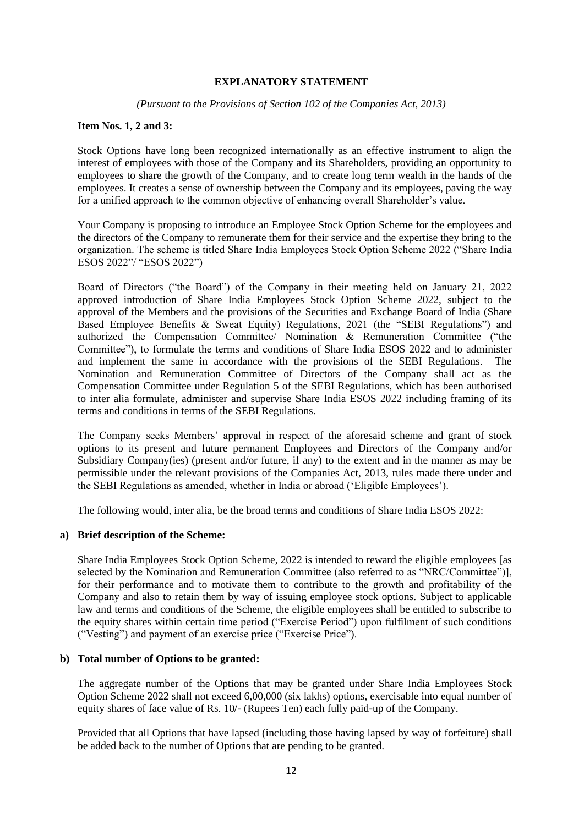#### **EXPLANATORY STATEMENT**

*(Pursuant to the Provisions of Section 102 of the Companies Act, 2013)*

### **Item Nos. 1, 2 and 3:**

Stock Options have long been recognized internationally as an effective instrument to align the interest of employees with those of the Company and its Shareholders, providing an opportunity to employees to share the growth of the Company, and to create long term wealth in the hands of the employees. It creates a sense of ownership between the Company and its employees, paving the way for a unified approach to the common objective of enhancing overall Shareholder's value.

Your Company is proposing to introduce an Employee Stock Option Scheme for the employees and the directors of the Company to remunerate them for their service and the expertise they bring to the organization. The scheme is titled Share India Employees Stock Option Scheme 2022 ("Share India ESOS 2022"/ "ESOS 2022")

Board of Directors ("the Board") of the Company in their meeting held on January 21, 2022 approved introduction of Share India Employees Stock Option Scheme 2022, subject to the approval of the Members and the provisions of the Securities and Exchange Board of India (Share Based Employee Benefits & Sweat Equity) Regulations, 2021 (the "SEBI Regulations") and authorized the Compensation Committee/ Nomination & Remuneration Committee ("the Committee"), to formulate the terms and conditions of Share India ESOS 2022 and to administer and implement the same in accordance with the provisions of the SEBI Regulations. The Nomination and Remuneration Committee of Directors of the Company shall act as the Compensation Committee under Regulation 5 of the SEBI Regulations, which has been authorised to inter alia formulate, administer and supervise Share India ESOS 2022 including framing of its terms and conditions in terms of the SEBI Regulations.

The Company seeks Members' approval in respect of the aforesaid scheme and grant of stock options to its present and future permanent Employees and Directors of the Company and/or Subsidiary Company(ies) (present and/or future, if any) to the extent and in the manner as may be permissible under the relevant provisions of the Companies Act, 2013, rules made there under and the SEBI Regulations as amended, whether in India or abroad ('Eligible Employees').

The following would, inter alia, be the broad terms and conditions of Share India ESOS 2022:

### **a) Brief description of the Scheme:**

Share India Employees Stock Option Scheme, 2022 is intended to reward the eligible employees [as selected by the Nomination and Remuneration Committee (also referred to as "NRC/Committee")], for their performance and to motivate them to contribute to the growth and profitability of the Company and also to retain them by way of issuing employee stock options. Subject to applicable law and terms and conditions of the Scheme, the eligible employees shall be entitled to subscribe to the equity shares within certain time period ("Exercise Period") upon fulfilment of such conditions ("Vesting") and payment of an exercise price ("Exercise Price").

### **b) Total number of Options to be granted:**

The aggregate number of the Options that may be granted under Share India Employees Stock Option Scheme 2022 shall not exceed 6,00,000 (six lakhs) options, exercisable into equal number of equity shares of face value of Rs. 10/- (Rupees Ten) each fully paid-up of the Company.

Provided that all Options that have lapsed (including those having lapsed by way of forfeiture) shall be added back to the number of Options that are pending to be granted.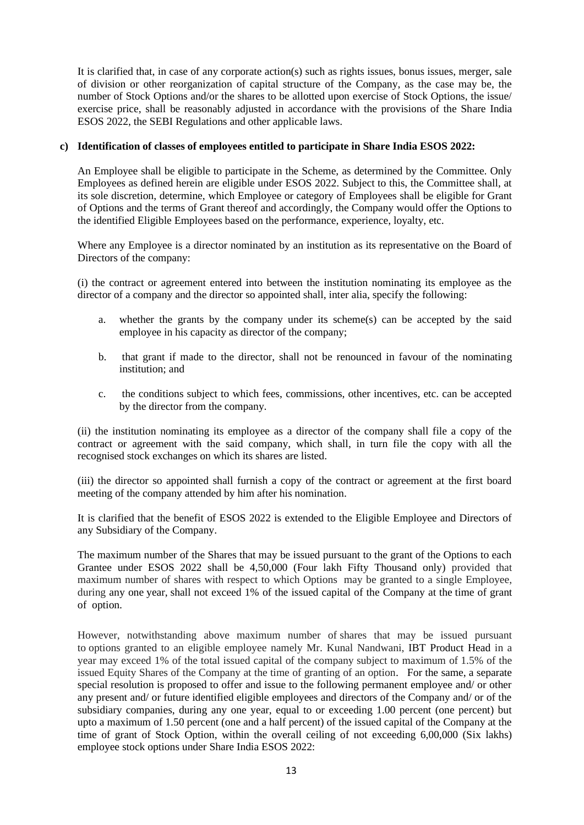It is clarified that, in case of any corporate action(s) such as rights issues, bonus issues, merger, sale of division or other reorganization of capital structure of the Company, as the case may be, the number of Stock Options and/or the shares to be allotted upon exercise of Stock Options, the issue/ exercise price, shall be reasonably adjusted in accordance with the provisions of the Share India ESOS 2022, the SEBI Regulations and other applicable laws.

## **c) Identification of classes of employees entitled to participate in Share India ESOS 2022:**

An Employee shall be eligible to participate in the Scheme, as determined by the Committee. Only Employees as defined herein are eligible under ESOS 2022. Subject to this, the Committee shall, at its sole discretion, determine, which Employee or category of Employees shall be eligible for Grant of Options and the terms of Grant thereof and accordingly, the Company would offer the Options to the identified Eligible Employees based on the performance, experience, loyalty, etc.

Where any Employee is a director nominated by an institution as its representative on the Board of Directors of the company:

(i) the contract or agreement entered into between the institution nominating its employee as the director of a company and the director so appointed shall, inter alia, specify the following:

- a. whether the grants by the company under its scheme(s) can be accepted by the said employee in his capacity as director of the company;
- b. that grant if made to the director, shall not be renounced in favour of the nominating institution; and
- c. the conditions subject to which fees, commissions, other incentives, etc. can be accepted by the director from the company.

(ii) the institution nominating its employee as a director of the company shall file a copy of the contract or agreement with the said company, which shall, in turn file the copy with all the recognised stock exchanges on which its shares are listed.

(iii) the director so appointed shall furnish a copy of the contract or agreement at the first board meeting of the company attended by him after his nomination.

It is clarified that the benefit of ESOS 2022 is extended to the Eligible Employee and Directors of any Subsidiary of the Company.

The maximum number of the Shares that may be issued pursuant to the grant of the Options to each Grantee under ESOS 2022 shall be 4,50,000 (Four lakh Fifty Thousand only) provided that maximum number of shares with respect to which Options may be granted to a single Employee, during any one year, shall not exceed 1% of the issued capital of the Company at the time of grant of option.

However, notwithstanding above maximum number of shares that may be issued pursuant to options granted to an eligible employee namely Mr. Kunal Nandwani, IBT Product Head in a year may exceed 1% of the total issued capital of the company subject to maximum of 1.5% of the issued Equity Shares of the Company at the time of granting of an option. For the same, a separate special resolution is proposed to offer and issue to the following permanent employee and/ or other any present and/ or future identified eligible employees and directors of the Company and/ or of the subsidiary companies, during any one year, equal to or exceeding 1.00 percent (one percent) but upto a maximum of 1.50 percent (one and a half percent) of the issued capital of the Company at the time of grant of Stock Option, within the overall ceiling of not exceeding 6,00,000 (Six lakhs) employee stock options under Share India ESOS 2022: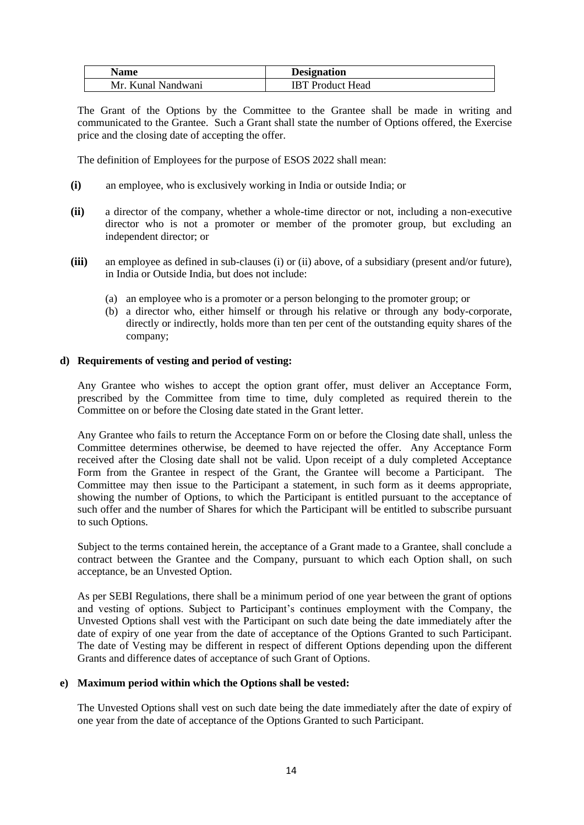| Name               | <b>Designation</b>      |
|--------------------|-------------------------|
| Mr. Kunal Nandwani | <b>IBT</b> Product Head |

The Grant of the Options by the Committee to the Grantee shall be made in writing and communicated to the Grantee. Such a Grant shall state the number of Options offered, the Exercise price and the closing date of accepting the offer.

The definition of Employees for the purpose of ESOS 2022 shall mean:

- **(i)** an employee, who is exclusively working in India or outside India; or
- **(ii)** a director of the company, whether a whole-time director or not, including a non-executive director who is not a promoter or member of the promoter group, but excluding an independent director; or
- **(iii)** an employee as defined in sub-clauses (i) or (ii) above, of a subsidiary (present and/or future), in India or Outside India, but does not include:
	- (a) an employee who is a promoter or a person belonging to the promoter group; or
	- (b) a director who, either himself or through his relative or through any body-corporate, directly or indirectly, holds more than ten per cent of the outstanding equity shares of the company;

### **d) Requirements of vesting and period of vesting:**

Any Grantee who wishes to accept the option grant offer, must deliver an Acceptance Form, prescribed by the Committee from time to time, duly completed as required therein to the Committee on or before the Closing date stated in the Grant letter.

Any Grantee who fails to return the Acceptance Form on or before the Closing date shall, unless the Committee determines otherwise, be deemed to have rejected the offer. Any Acceptance Form received after the Closing date shall not be valid. Upon receipt of a duly completed Acceptance Form from the Grantee in respect of the Grant, the Grantee will become a Participant. The Committee may then issue to the Participant a statement, in such form as it deems appropriate, showing the number of Options, to which the Participant is entitled pursuant to the acceptance of such offer and the number of Shares for which the Participant will be entitled to subscribe pursuant to such Options.

Subject to the terms contained herein, the acceptance of a Grant made to a Grantee, shall conclude a contract between the Grantee and the Company, pursuant to which each Option shall, on such acceptance, be an Unvested Option.

As per SEBI Regulations, there shall be a minimum period of one year between the grant of options and vesting of options. Subject to Participant's continues employment with the Company, the Unvested Options shall vest with the Participant on such date being the date immediately after the date of expiry of one year from the date of acceptance of the Options Granted to such Participant. The date of Vesting may be different in respect of different Options depending upon the different Grants and difference dates of acceptance of such Grant of Options.

### **e) Maximum period within which the Options shall be vested:**

The Unvested Options shall vest on such date being the date immediately after the date of expiry of one year from the date of acceptance of the Options Granted to such Participant.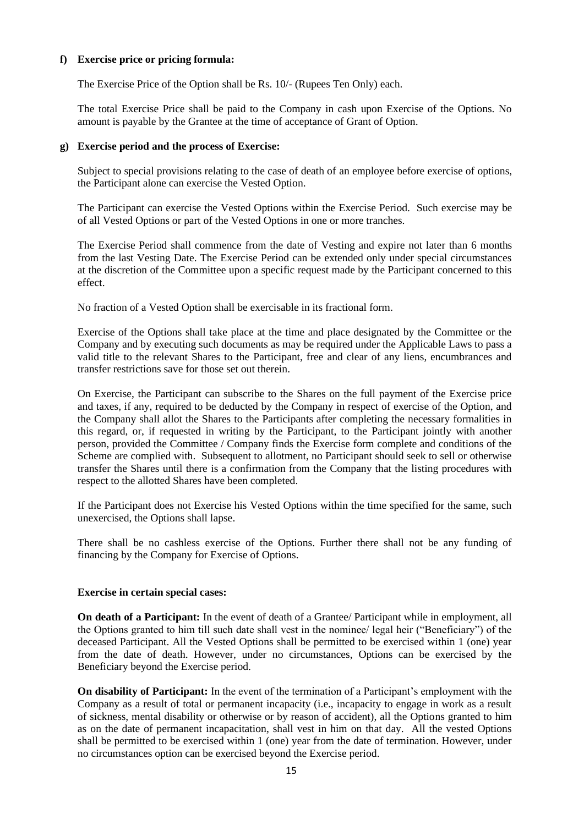#### **f) Exercise price or pricing formula:**

The Exercise Price of the Option shall be Rs. 10/- (Rupees Ten Only) each.

The total Exercise Price shall be paid to the Company in cash upon Exercise of the Options. No amount is payable by the Grantee at the time of acceptance of Grant of Option.

#### **g) Exercise period and the process of Exercise:**

Subject to special provisions relating to the case of death of an employee before exercise of options, the Participant alone can exercise the Vested Option.

The Participant can exercise the Vested Options within the Exercise Period. Such exercise may be of all Vested Options or part of the Vested Options in one or more tranches.

The Exercise Period shall commence from the date of Vesting and expire not later than 6 months from the last Vesting Date. The Exercise Period can be extended only under special circumstances at the discretion of the Committee upon a specific request made by the Participant concerned to this effect.

No fraction of a Vested Option shall be exercisable in its fractional form.

Exercise of the Options shall take place at the time and place designated by the Committee or the Company and by executing such documents as may be required under the Applicable Laws to pass a valid title to the relevant Shares to the Participant, free and clear of any liens, encumbrances and transfer restrictions save for those set out therein.

On Exercise, the Participant can subscribe to the Shares on the full payment of the Exercise price and taxes, if any, required to be deducted by the Company in respect of exercise of the Option, and the Company shall allot the Shares to the Participants after completing the necessary formalities in this regard, or, if requested in writing by the Participant, to the Participant jointly with another person, provided the Committee / Company finds the Exercise form complete and conditions of the Scheme are complied with. Subsequent to allotment, no Participant should seek to sell or otherwise transfer the Shares until there is a confirmation from the Company that the listing procedures with respect to the allotted Shares have been completed.

If the Participant does not Exercise his Vested Options within the time specified for the same, such unexercised, the Options shall lapse.

There shall be no cashless exercise of the Options. Further there shall not be any funding of financing by the Company for Exercise of Options.

#### **Exercise in certain special cases:**

**On death of a Participant:** In the event of death of a Grantee/ Participant while in employment, all the Options granted to him till such date shall vest in the nominee/ legal heir ("Beneficiary") of the deceased Participant. All the Vested Options shall be permitted to be exercised within 1 (one) year from the date of death. However, under no circumstances, Options can be exercised by the Beneficiary beyond the Exercise period.

**On disability of Participant:** In the event of the termination of a Participant's employment with the Company as a result of total or permanent incapacity (i.e., incapacity to engage in work as a result of sickness, mental disability or otherwise or by reason of accident), all the Options granted to him as on the date of permanent incapacitation, shall vest in him on that day. All the vested Options shall be permitted to be exercised within 1 (one) year from the date of termination. However, under no circumstances option can be exercised beyond the Exercise period.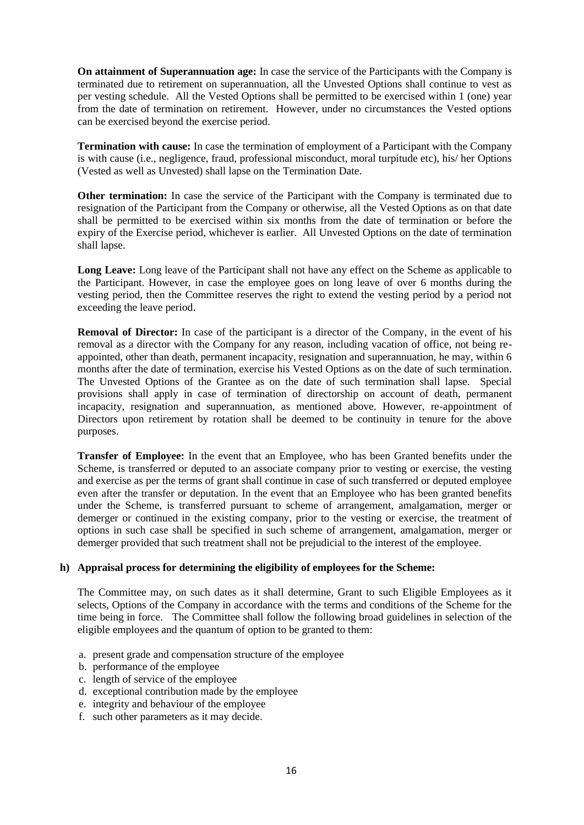**On attainment of Superannuation age:** In case the service of the Participants with the Company is terminated due to retirement on superannuation, all the Unvested Options shall continue to vest as per vesting schedule. All the Vested Options shall be permitted to be exercised within 1 (one) year from the date of termination on retirement. However, under no circumstances the Vested options can be exercised beyond the exercise period.

**Termination with cause:** In case the termination of employment of a Participant with the Company is with cause (i.e., negligence, fraud, professional misconduct, moral turpitude etc), his/ her Options (Vested as well as Unvested) shall lapse on the Termination Date.

**Other termination:** In case the service of the Participant with the Company is terminated due to resignation of the Participant from the Company or otherwise, all the Vested Options as on that date shall be permitted to be exercised within six months from the date of termination or before the expiry of the Exercise period, whichever is earlier. All Unvested Options on the date of termination shall lapse.

Long Leave: Long leave of the Participant shall not have any effect on the Scheme as applicable to the Participant. However, in case the employee goes on long leave of over 6 months during the vesting period, then the Committee reserves the right to extend the vesting period by a period not exceeding the leave period.

**Removal of Director:** In case of the participant is a director of the Company, in the event of his removal as a director with the Company for any reason, including vacation of office, not being reappointed, other than death, permanent incapacity, resignation and superannuation, he may, within 6 months after the date of termination, exercise his Vested Options as on the date of such termination. The Unvested Options of the Grantee as on the date of such termination shall lapse. Special provisions shall apply in case of termination of directorship on account of death, permanent incapacity, resignation and superannuation, as mentioned above. However, re-appointment of Directors upon retirement by rotation shall be deemed to be continuity in tenure for the above purposes.

**Transfer of Employee:** In the event that an Employee, who has been Granted benefits under the Scheme, is transferred or deputed to an associate company prior to vesting or exercise, the vesting and exercise as per the terms of grant shall continue in case of such transferred or deputed employee even after the transfer or deputation. In the event that an Employee who has been granted benefits under the Scheme, is transferred pursuant to scheme of arrangement, amalgamation, merger or demerger or continued in the existing company, prior to the vesting or exercise, the treatment of options in such case shall be specified in such scheme of arrangement, amalgamation, merger or demerger provided that such treatment shall not be prejudicial to the interest of the employee.

### **h) Appraisal process for determining the eligibility of employees for the Scheme:**

The Committee may, on such dates as it shall determine, Grant to such Eligible Employees as it selects, Options of the Company in accordance with the terms and conditions of the Scheme for the time being in force. The Committee shall follow the following broad guidelines in selection of the eligible employees and the quantum of option to be granted to them:

- a. present grade and compensation structure of the employee
- b. performance of the employee
- c. length of service of the employee
- d. exceptional contribution made by the employee
- e. integrity and behaviour of the employee
- f. such other parameters as it may decide.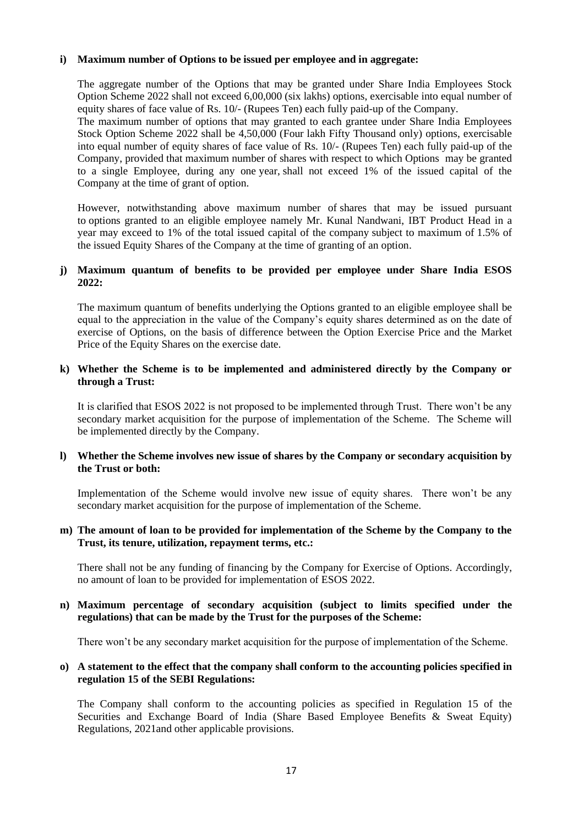### **i) Maximum number of Options to be issued per employee and in aggregate:**

The aggregate number of the Options that may be granted under Share India Employees Stock Option Scheme 2022 shall not exceed 6,00,000 (six lakhs) options, exercisable into equal number of equity shares of face value of Rs. 10/- (Rupees Ten) each fully paid-up of the Company.

The maximum number of options that may granted to each grantee under Share India Employees Stock Option Scheme 2022 shall be 4,50,000 (Four lakh Fifty Thousand only) options, exercisable into equal number of equity shares of face value of Rs. 10/- (Rupees Ten) each fully paid-up of the Company, provided that maximum number of shares with respect to which Options may be granted to a single Employee, during any one year, shall not exceed 1% of the issued capital of the Company at the time of grant of option.

However, notwithstanding above maximum number of shares that may be issued pursuant to options granted to an eligible employee namely Mr. Kunal Nandwani, IBT Product Head in a year may exceed to 1% of the total issued capital of the company subject to maximum of 1.5% of the issued Equity Shares of the Company at the time of granting of an option.

### **j) Maximum quantum of benefits to be provided per employee under Share India ESOS 2022:**

The maximum quantum of benefits underlying the Options granted to an eligible employee shall be equal to the appreciation in the value of the Company's equity shares determined as on the date of exercise of Options, on the basis of difference between the Option Exercise Price and the Market Price of the Equity Shares on the exercise date.

### **k) Whether the Scheme is to be implemented and administered directly by the Company or through a Trust:**

It is clarified that ESOS 2022 is not proposed to be implemented through Trust. There won't be any secondary market acquisition for the purpose of implementation of the Scheme. The Scheme will be implemented directly by the Company.

### **l) Whether the Scheme involves new issue of shares by the Company or secondary acquisition by the Trust or both:**

Implementation of the Scheme would involve new issue of equity shares. There won't be any secondary market acquisition for the purpose of implementation of the Scheme.

### **m) The amount of loan to be provided for implementation of the Scheme by the Company to the Trust, its tenure, utilization, repayment terms, etc.:**

There shall not be any funding of financing by the Company for Exercise of Options. Accordingly, no amount of loan to be provided for implementation of ESOS 2022.

### **n) Maximum percentage of secondary acquisition (subject to limits specified under the regulations) that can be made by the Trust for the purposes of the Scheme:**

There won't be any secondary market acquisition for the purpose of implementation of the Scheme.

### **o) A statement to the effect that the company shall conform to the accounting policies specified in regulation 15 of the SEBI Regulations:**

The Company shall conform to the accounting policies as specified in Regulation 15 of the Securities and Exchange Board of India (Share Based Employee Benefits & Sweat Equity) Regulations, 2021and other applicable provisions.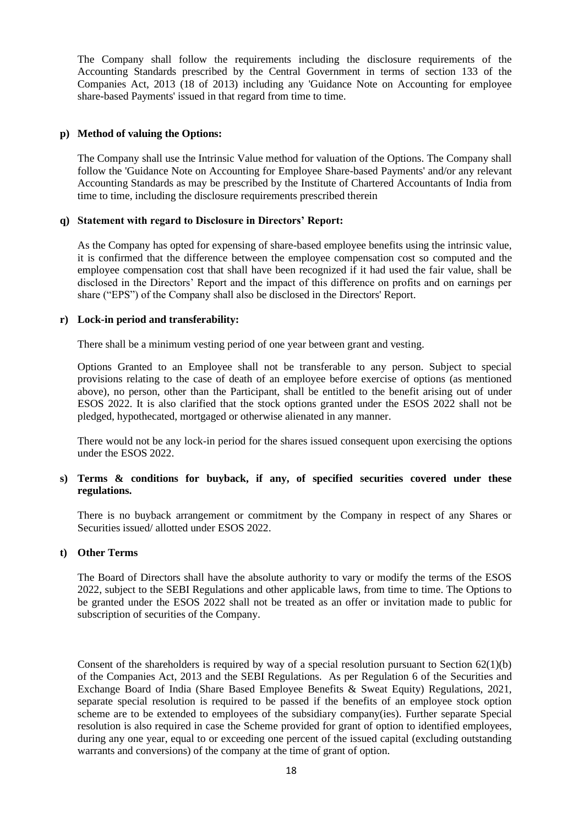The Company shall follow the requirements including the disclosure requirements of the Accounting Standards prescribed by the Central Government in terms of section 133 of the Companies Act, 2013 (18 of 2013) including any 'Guidance Note on Accounting for employee share-based Payments' issued in that regard from time to time.

### **p) Method of valuing the Options:**

The Company shall use the Intrinsic Value method for valuation of the Options. The Company shall follow the 'Guidance Note on Accounting for Employee Share-based Payments' and/or any relevant Accounting Standards as may be prescribed by the Institute of Chartered Accountants of India from time to time, including the disclosure requirements prescribed therein

# **q) Statement with regard to Disclosure in Directors' Report:**

As the Company has opted for expensing of share-based employee benefits using the intrinsic value, it is confirmed that the difference between the employee compensation cost so computed and the employee compensation cost that shall have been recognized if it had used the fair value, shall be disclosed in the Directors' Report and the impact of this difference on profits and on earnings per share ("EPS") of the Company shall also be disclosed in the Directors' Report.

# **r) Lock-in period and transferability:**

There shall be a minimum vesting period of one year between grant and vesting.

Options Granted to an Employee shall not be transferable to any person. Subject to special provisions relating to the case of death of an employee before exercise of options (as mentioned above), no person, other than the Participant, shall be entitled to the benefit arising out of under ESOS 2022. It is also clarified that the stock options granted under the ESOS 2022 shall not be pledged, hypothecated, mortgaged or otherwise alienated in any manner.

There would not be any lock-in period for the shares issued consequent upon exercising the options under the ESOS 2022.

# **s) Terms & conditions for buyback, if any, of specified securities covered under these regulations.**

There is no buyback arrangement or commitment by the Company in respect of any Shares or Securities issued/ allotted under ESOS 2022.

### **t) Other Terms**

The Board of Directors shall have the absolute authority to vary or modify the terms of the ESOS 2022, subject to the SEBI Regulations and other applicable laws, from time to time. The Options to be granted under the ESOS 2022 shall not be treated as an offer or invitation made to public for subscription of securities of the Company.

Consent of the shareholders is required by way of a special resolution pursuant to Section  $62(1)(b)$ of the Companies Act, 2013 and the SEBI Regulations. As per Regulation 6 of the Securities and Exchange Board of India (Share Based Employee Benefits & Sweat Equity) Regulations, 2021, separate special resolution is required to be passed if the benefits of an employee stock option scheme are to be extended to employees of the subsidiary company(ies). Further separate Special resolution is also required in case the Scheme provided for grant of option to identified employees, during any one year, equal to or exceeding one percent of the issued capital (excluding outstanding warrants and conversions) of the company at the time of grant of option.